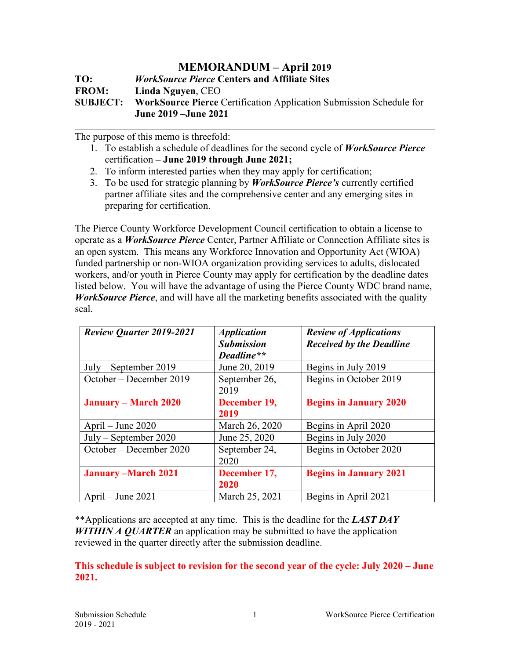## **MEMORANDUM – April 2019**

**TO:** *WorkSource Pierce* **Centers and Affiliate Sites FROM: Linda Nguyen**, CEO **SUBJECT: WorkSource Pierce** Certification Application Submission Schedule for **June 2019 –June 2021**

The purpose of this memo is threefold:

- 1. To establish a schedule of deadlines for the second cycle of *WorkSource Pierce* certification **– June 2019 through June 2021;**
- 2. To inform interested parties when they may apply for certification;
- 3. To be used for strategic planning by *WorkSource Pierce's* currently certified partner affiliate sites and the comprehensive center and any emerging sites in preparing for certification.

The Pierce County Workforce Development Council certification to obtain a license to operate as a *WorkSource Pierce* Center, Partner Affiliate or Connection Affiliate sites is an open system. This means any Workforce Innovation and Opportunity Act (WIOA) funded partnership or non-WIOA organization providing services to adults, dislocated workers, and/or youth in Pierce County may apply for certification by the deadline dates listed below. You will have the advantage of using the Pierce County WDC brand name, *WorkSource Pierce*, and will have all the marketing benefits associated with the quality seal.

| <b>Review Quarter 2019-2021</b> | <b>Application</b><br><b>Submission</b><br>Deadline** | <b>Review of Applications</b><br><b>Received by the Deadline</b> |
|---------------------------------|-------------------------------------------------------|------------------------------------------------------------------|
| $July - September 2019$         | June 20, 2019                                         | Begins in July 2019                                              |
| October – December 2019         | September 26,<br>2019                                 | Begins in October 2019                                           |
| <b>January – March 2020</b>     | December 19,<br>2019                                  | <b>Begins in January 2020</b>                                    |
| April – June $2020$             | March 26, 2020                                        | Begins in April 2020                                             |
| $July - September 2020$         | June 25, 2020                                         | Begins in July 2020                                              |
| October – December 2020         | September 24,<br>2020                                 | Begins in October 2020                                           |
| <b>January -March 2021</b>      | December 17,<br>2020                                  | <b>Begins in January 2021</b>                                    |
| April – June 2021               | March 25, 2021                                        | Begins in April 2021                                             |

\*\*Applications are accepted at any time. This is the deadline for the *LAST DAY WITHIN A QUARTER* an application may be submitted to have the application reviewed in the quarter directly after the submission deadline.

## **This schedule is subject to revision for the second year of the cycle: July 2020 – June 2021.**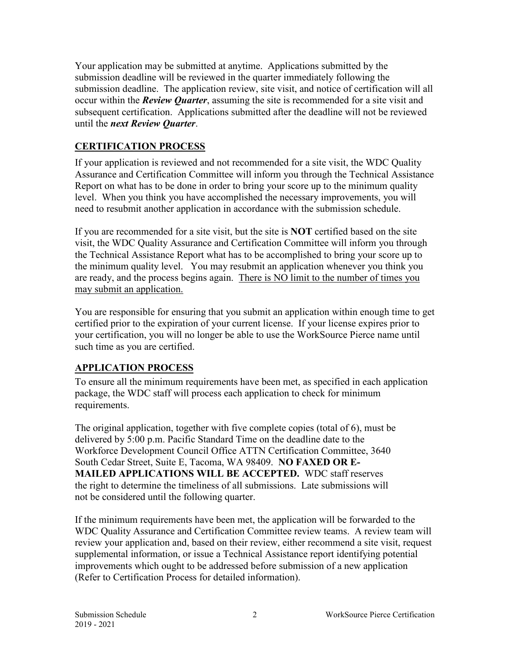Your application may be submitted at anytime. Applications submitted by the submission deadline will be reviewed in the quarter immediately following the submission deadline. The application review, site visit, and notice of certification will all occur within the *Review Quarter*, assuming the site is recommended for a site visit and subsequent certification. Applications submitted after the deadline will not be reviewed until the *next Review Quarter*.

## **CERTIFICATION PROCESS**

If your application is reviewed and not recommended for a site visit, the WDC Quality Assurance and Certification Committee will inform you through the Technical Assistance Report on what has to be done in order to bring your score up to the minimum quality level. When you think you have accomplished the necessary improvements, you will need to resubmit another application in accordance with the submission schedule.

If you are recommended for a site visit, but the site is **NOT** certified based on the site visit, the WDC Quality Assurance and Certification Committee will inform you through the Technical Assistance Report what has to be accomplished to bring your score up to the minimum quality level. You may resubmit an application whenever you think you are ready, and the process begins again. There is NO limit to the number of times you may submit an application.

You are responsible for ensuring that you submit an application within enough time to get certified prior to the expiration of your current license. If your license expires prior to your certification, you will no longer be able to use the WorkSource Pierce name until such time as you are certified.

## **APPLICATION PROCESS**

To ensure all the minimum requirements have been met, as specified in each application package, the WDC staff will process each application to check for minimum requirements.

The original application, together with five complete copies (total of 6), must be delivered by 5:00 p.m. Pacific Standard Time on the deadline date to the Workforce Development Council Office ATTN Certification Committee, 3640 South Cedar Street, Suite E, Tacoma, WA 98409. **NO FAXED OR E-MAILED APPLICATIONS WILL BE ACCEPTED.** WDC staff reserves the right to determine the timeliness of all submissions. Late submissions will not be considered until the following quarter.

If the minimum requirements have been met, the application will be forwarded to the WDC Quality Assurance and Certification Committee review teams. A review team will review your application and, based on their review, either recommend a site visit, request supplemental information, or issue a Technical Assistance report identifying potential improvements which ought to be addressed before submission of a new application (Refer to Certification Process for detailed information).